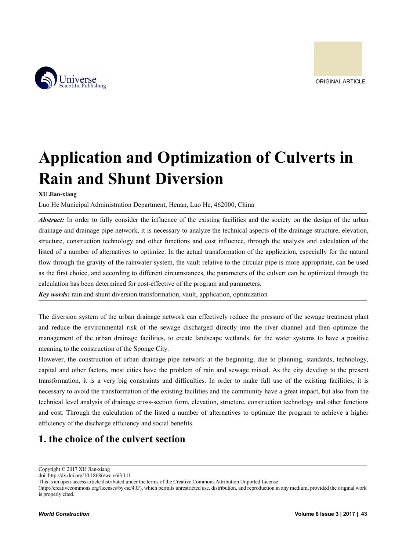



# **Application and Optimization of Culverts in Rain and Shunt Diversion**

**XU Jian-xiang**

Luo He Municipal Administration Department, Henan, Luo He, 462000, China

*Abstract:* In order to fully consider the influence of the existing facilities and the society on the design of the urban drainage and drainage pipe network, it is necessary to analyze the technical aspects of the drainage structure, elevation, structure, construction technology and other functions and cost influence, through the analysis and calculation of the listed of a number of alternatives to optimize. In the actual transformation of the application, especially for the natural flow through the gravity of the rainwater system, the vault relative to the circular pipe is more appropriate, can be used as the first choice, and according to different circumstances, the parameters of the culvert can be optimized through the calculation has been determined for cost-effective of the program and parameters.

*Key words:* rain and shunt diversion transformation, vault, application, optimization

The diversion system of the urban drainage network can effectively reduce the pressure of the sewage treatment plant and reduce the environmental risk of the sewage discharged directly into the river channel and then optimize the management of the urban drainage facilities, to create landscape wetlands, for the water systems to have a positive meaning to the construction of the Sponge City.

However, the construction of urban drainage pipe network at the beginning, due to planning, standards, technology, capital and other factors, most cities have the problem of rain and sewage mixed. As the city develop to the present transformation, it is a very big constraints and difficulties. In order to make full use of the existing facilities, it is necessary to avoid the transformation of the existing facilities and the community have a great impact, but also from the technical level analysis of drainage cross-section form, elevation, structure, construction technology and other functions and cost. Through the calculation of the listed a number of alternatives to optimize the program to achieve a higher efficiency of the discharge efficiency and social benefits.

# **1. the choice of the culvert section**

Copyright © 2017 XU Jian-xiang

doi: http://dx.doi.org/10.18686/wc.v6i3.111

This is an open-access article distributed under the terms of the Creative Commons Attribution Unported License

<sup>(</sup>http://creativecommons.org/licenses/by-nc/4.0/), which permits unrestricted use, distribution, and reproduction in any medium, provided the original work is properly cited.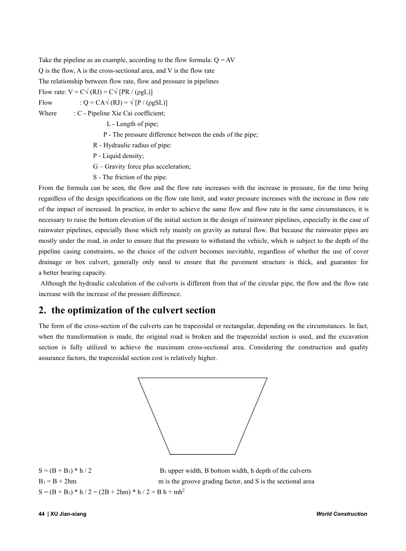Take the pipeline as an example, according to the flow formula:  $Q = AV$ Q is the flow, A is the cross-sectional area, and V is the flow rate The relationship between flow rate, flow and pressure in pipelines Flow rate:  $V = C\sqrt{(RJ)} = C\sqrt{[PR/(OgL)]}$ 

Flow :  $Q = CA\sqrt{(RJ)} = \sqrt{[P/(\rho gSL)]}$ 

Where : C - Pipeline Xie Cai coefficient;

- L Length of pipe;
- P The pressure difference between the ends of the pipe;
- R Hydraulic radius of pipe:
- Ρ Liquid density;
- G Gravity force plus acceleration;
- S The friction of the pipe.

From the formula can be seen, the flow and the flow rate increases with the increase in pressure, for the time being regardless ofthe design specifications on the flow rate limit, and water pressure increases with the increase in flow rate of the impact of increased. In practice, in order to achieve the same flow and flow rate in the same circumstances, it is necessary to raise the bottom elevation of the initial section in the design of rainwater pipelines, especially in the case of rainwater pipelines, especially those which rely mainly on gravity as natural flow. But because the rainwater pipes are mostly under the road, in order to ensure that the pressure to withstand the vehicle, which is subject to the depth of the pipeline casing constraints, so the choice of the culvert becomes inevitable, regardless of whether the use of cover drainage or box culvert, generally only need to ensure that the pavement structure is thick, and guarantee for a better bearing capacity.

Although the hydraulic calculation of the culverts is different from that of the circular pipe, the flow and the flow rate increase with the increase of the pressure difference.

# **2. the optimization of the culvert section**

The form of the cross-section of the culverts can be trapezoidal or rectangular, depending on the circumstances. In fact, when the transformation is made, the original road is broken and the trapezoidal section is used, and the excavation section is fully utilized to achieve the maximum cross-sectional area. Considering the construction and quality assurance factors, the trapezoidal section cost is relatively higher.



 $S = (B + B_1) * h / 2$  B<sub>1</sub> upper width, B bottom width, h depth of the culverts  $B_1 = B + 2hm$  m is the groove grading factor, and S is the sectional area  $S = (B + B_1) * h / 2 = (2B + 2hm) * h / 2 = B h + mh^2$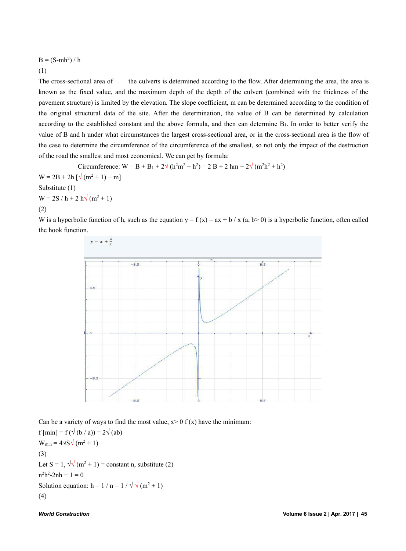## $B = (S-mh<sup>2</sup>) / h$

### (1)

The cross-sectional area of the culverts is determined according to the flow. After determining the area, the area is known as the fixed value, and the maximum depth of the depth of the culvert(combined with the thickness of the pavement structure) is limited by the elevation. The slope coefficient, m can be determined according to the condition of the original structural data of the site. After the determination, the value of B can be determined by calculation according to the established constant and the above formula, and then can determine B1. In order to better verify the value of B and h under what circumstances the largest cross-sectional area, or in the cross-sectional area is the flow of the case to determine the circumference of the circumference of the smallest, so not only the impact of the destruction of the road the smallest and most economical. We can get by formula:

Circumference:  $W = B + B_1 + 2\sqrt{(h^2m^2 + h^2)} = 2B + 2hm + 2\sqrt{(m^2h^2 + h^2)}$  $W = 2B + 2h \left[ \sqrt{ (m^2 + 1) + m } \right]$ Substitute (1)  $W = 2S / h + 2 h \sqrt{(m^2 + 1)}$ (2)

W is a hyperbolic function of h, such as the equation  $y = f(x) = ax + b / x$  (a, b> 0) is a hyperbolic function, often called the hook function.



Can be a variety of ways to find the most value,  $x > 0$  f (x) have the minimum:  $f \text{[min]} = f(\sqrt{(b/a)}) = 2\sqrt{(ab)}$  $W_{min} = 4\sqrt{S}\sqrt{(m^2+1)}$ (3) Let S = 1,  $\sqrt{\sqrt{m^2+1}}$  = constant n, substitute (2)  $n^2h^2-2nh + 1 = 0$ Solution equation: h =  $1/n = 1/\sqrt{\sqrt{m^2+1}}$ 

$$
(4)
$$